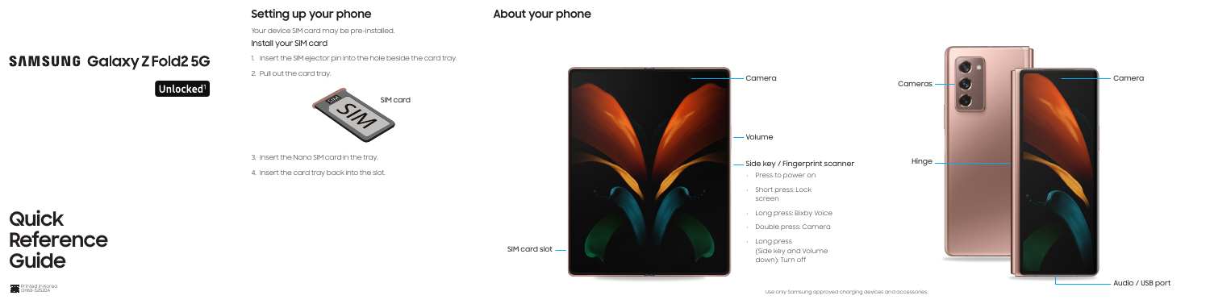# **SAMSUNG Galaxy Z Fold2 5G**

# $\left[\right.$  Unlocked $^{1}\left.\right]$

Your device SIM card may be pre-installed.

### Install your SIM card

1. Insert the SIM ejector pin into the hole beside the card tray.

2. Pull out the card tray.

3. Insert the Nano SIM card in the tray.

4. Insert the card tray back into the slot.

# **Quick Reference Guide**

### **Setting up your phone**



**About your phone**



Audio / USB port



SIM card slot